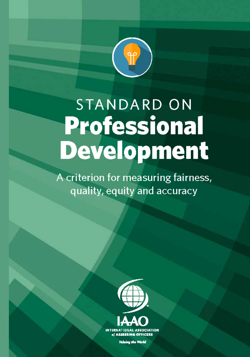

# **STANDARD ON Professional** Development

A criterion for measuring fairness, quality, equity and accuracy



Valuing the World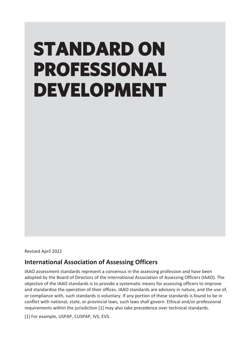# **STANDARD ON PROFESSIONAL DEVELOPMENT**

Revised April 2022

### **International Association of Assessing Officers**

IAAO assessment standards represent a consensus in the assessing profession and have been adopted by the Board of Directors of the International Association of Assessing Officers (IAAO). The objective of the IAAO standards is to provide a systematic means for assessing officers to improve and standardize the operation of their offices. IAAO standards are advisory in nature, and the use of, or compliance with, such standards is voluntary. If any portion of these standards is found to be in conflict with national, state, or provincial laws, such laws shall govern. Ethical and/or professional requirements within the jurisdiction [1] may also take precedence over technical standards.

[1] For example, USPAP, CUSPAP, IVS, EVS.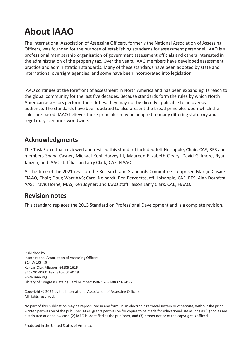# **About IAAO**

The International Association of Assessing Officers, formerly the National Association of Assessing Officers, was founded for the purpose of establishing standards for assessment personnel. IAAO is a professional membership organization of government assessment officials and others interested in the administration of the property tax. Over the years, IAAO members have developed assessment practice and administration standards. Many of these standards have been adopted by state and international oversight agencies, and some have been incorporated into legislation.

IAAO continues at the forefront of assessment in North America and has been expanding its reach to the global community for the last five decades. Because standards form the rules by which North American assessors perform their duties, they may not be directly applicable to an overseas audience. The standards have been updated to also present the broad principles upon which the rules are based. IAAO believes those principles may be adapted to many differing statutory and regulatory scenarios worldwide.

### **Acknowledgments**

The Task Force that reviewed and revised this standard included Jeff Holsapple, Chair, CAE, RES and members Shana Casner, Michael Kent Harvey III, Maureen Elizabeth Cleary, David Gillmore, Ryan Janzen, and IAAO staff liaison Larry Clark, CAE, FIAAO.

At the time of the 2021 revision the Research and Standards Committee comprised Margie Cusack FIAAO, Chair; Doug Warr AAS; Carol Neihardt; Ben Bervoets; Jeff Holsapple, CAE, RES; Alan Dornfest AAS; Travis Horne, MAS; Ken Joyner; and IAAO staff liaison Larry Clark, CAE, FIAAO.

### **Revision notes**

This standard replaces the 2013 Standard on Professional Development and is a complete revision.

Published by International Association of Assessing Officers 314 W 10th St Kansas City, Missouri 64105-1616 816-701-8100 Fax: 816-701-8149 [www.iaao.org](http://www.iaao.org/) Library of Congress Catalog Card Number: ISBN 978-0-88329-245-7

Copyright © 2022 by the International Association of Assessing Officers All rights reserved.

No part of this publication may be reproduced in any form, in an electronic retrieval system or otherwise, without the prior written permission of the publisher. IAAO grants permission for copies to be made for educational use as long as (1) copies are distributed at or below cost, (2) IAAO is identified as the publisher, and (3) proper notice of the copyright is affixed.

Produced in the United States of America.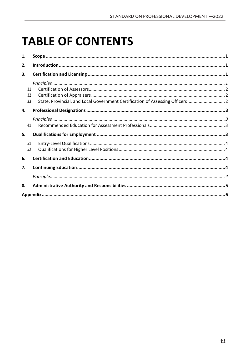# **TABLE OF CONTENTS**

| 1. |     |                                                                               |  |
|----|-----|-------------------------------------------------------------------------------|--|
| 2. |     |                                                                               |  |
| 3. |     |                                                                               |  |
|    |     |                                                                               |  |
|    | 31  |                                                                               |  |
|    | 3.2 |                                                                               |  |
|    | 33  | State, Provincial, and Local Government Certification of Assessing Officers 2 |  |
| 4. |     |                                                                               |  |
|    |     |                                                                               |  |
|    | 4.1 |                                                                               |  |
| 5. |     |                                                                               |  |
|    | 5.1 |                                                                               |  |
|    | 5.2 |                                                                               |  |
| 6. |     |                                                                               |  |
| 7. |     |                                                                               |  |
|    |     |                                                                               |  |
| 8. |     |                                                                               |  |
|    |     |                                                                               |  |
|    |     |                                                                               |  |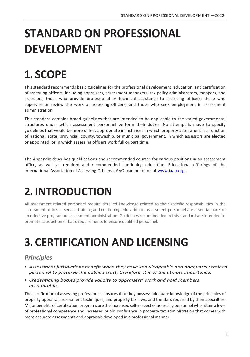# **STANDARD ON PROFESSIONAL DEVELOPMENT**

# <span id="page-5-0"></span>**1. SCOPE**

This standard recommends basic guidelines for the professional development, education, and certification of assessing officers, including appraisers, assessment managers, tax policy administrators, mappers, and assessors; those who provide professional or technical assistance to assessing officers; those who supervise or review the work of assessing officers; and those who seek employment in assessment administration.

This standard contains broad guidelines that are intended to be applicable to the varied governmental structures under which assessment personnel perform their duties. No attempt is made to specify guidelines that would be more or less appropriate in instances in which property assessment is a function of national, state, provincial, county, township, or municipal government, in which assessors are elected or appointed, or in which assessing officers work full or part time.

The Appendix describes qualifications and recommended courses for various positions in an assessment office, as well as required and recommended continuing education. Educational offerings of the International Association of Assessing Officers (IAAO) can be found at www.iaao.org.

# <span id="page-5-1"></span>**2. INTRODUCTION**

All assessment-related personnel require detailed knowledge related to their specific responsibilities in the assessment office. In-service training and continuing education of assessment personnel are essential parts of an effective program of assessment administration. Guidelines recommended in this standard are intended to promote satisfaction of basic requirements to ensure qualified personnel.

# <span id="page-5-2"></span>**3. CERTIFICATION AND LICENSING**

### <span id="page-5-3"></span>*Principles*

- *• Assessment jurisdictions benefit when they have knowledgeable and adequately trained personnel to preserve the public's trust; therefore, it is of the utmost importance.*
- *• Credentialing bodies provide validity to appraisers' work and hold members accountable.*

The certification of assessing professionals ensures that they possess adequate knowledge of the principles of property appraisal, assessment techniques, and property tax laws, and the skills required by their specialties. Major benefits of certification programs are the increased self-respect of assessing personnel who attain a level of professional competence and increased public confidence in property tax administration that comes with more accurate assessments and appraisals developed in a professional manner.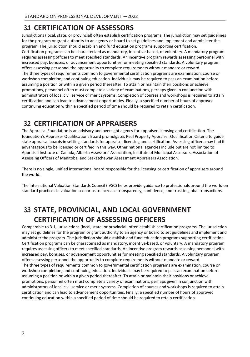### <span id="page-6-0"></span>**3.1 CERTIFICATION OF ASSESSORS**

Jurisdictions (local, state, or provincial) often establish certification programs. The jurisdiction may set guidelines for the program or grant authority to an agency or board to set guidelines and implement and administer the program. The jurisdiction should establish and fund education programs supporting certification. Certification programs can be characterized as mandatory, incentive-based, or voluntary. A mandatory program requires assessing officers to meet specified standards. An incentive program rewards assessing personnel with increased pay, bonuses, or advancement opportunities for meeting specified standards. A voluntary program offers assessing personnel the opportunity to complete requirements without mandate or reward. The three types of requirements common to governmental certification programs are examination, course or workshop completion, and continuing education. Individuals may be required to pass an examination before assuming a position or within a given period thereafter. To attain or maintain their positions or achieve promotions, personnel often must complete a variety of examinations, perhaps given in conjunction with administrators of local civil service or merit systems. Completion of courses and workshops is required to attain certification and can lead to advancement opportunities. Finally, a specified number of hours of approved continuing education within a specified period of time should be required to retain certification.

### <span id="page-6-1"></span>**3.2 CERTIFICATION OF APPRAISERS**

The Appraisal Foundation is an advisory and oversight agency for appraiser licensing and certification. The foundation's Appraiser Qualifications Board promulgates Real Property Appraiser Qualification Criteria to guide state appraisal boards in setting standards for appraiser licensing and certification. Assessing officers may find it advantageous to be licensed or certified in this way. Other national agencies include but are not limited to: Appraisal Institute of Canada, Alberta Assessors' Association, Institute of Municipal Assessors, Association of Assessing Officers of Manitoba, and Saskatchewan Assessment Appraisers Association.

There is no single, unified international board responsible for the licensing or certification of appraisers around the world.

The International Valuation Standards Council (IVSC) helps provide guidance to professionals around the world on standard practices in valuation scenarios to increase transparency, confidence, and trust in global transactions.

## <span id="page-6-2"></span>**3.3 STATE, PROVINCIAL, AND LOCAL GOVERNMENT CERTIFICATION OF ASSESSING OFFICERS**

Comparable to 3.1, jurisdictions (local, state, or provincial) often establish certification programs. The jurisdiction may set guidelines for the program or grant authority to an agency or board to set guidelines and implement and administer the program. The jurisdiction should establish and fund education programs supporting certification. Certification programs can be characterized as mandatory, incentive-based, or voluntary. A mandatory program requires assessing officers to meet specified standards. An incentive program rewards assessing personnel with increased pay, bonuses, or advancement opportunities for meeting specified standards. A voluntary program offers assessing personnel the opportunity to complete requirements without mandate or reward. The three types of requirements common to governmental certification programs are examination, course or workshop completion, and continuing education. Individuals may be required to pass an examination before assuming a position or within a given period thereafter. To attain or maintain their positions or achieve promotions, personnel often must complete a variety of examinations, perhaps given in conjunction with administrators of local civil service or merit systems. Completion of courses and workshops is required to attain certification and can lead to advancement opportunities. Finally, a specified number of hours of approved continuing education within a specified period of time should be required to retain certification.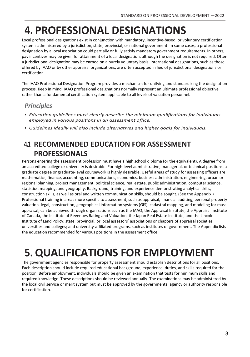# <span id="page-7-0"></span>**4. PROFESSIONAL DESIGNATIONS**

Local professional designations exist in conjunction with mandatory, incentive-based, or voluntary certification systems administered by a jurisdiction, state, provincial, or national government. In some cases, a professional designation by a local association could partially or fully satisfy mandatory government requirements. In others, pay incentives may be given for attainment of a local designation, although the designation is not required. Often a jurisdictional designation may be earned on a purely voluntary basis. International designations, such as those offered by IAAO or by other appraisal organizations, are often accepted in lieu of jurisdictional designations or certification.

The IAAO Professional Designation Program provides a mechanism for unifying and standardizing the designation process. Keep in mind, IAAO professional designations normally represent an ultimate professional objective rather than a fundamental certification system applicable to all levels of valuation personnel.

### <span id="page-7-1"></span>*Principles*

- *• Education guidelines must clearly describe the minimum qualifications for individuals employed in various positions in an assessment office.*
- *• Guidelines ideally will also include alternatives and higher goals for individuals.*

### <span id="page-7-2"></span>**4.1 RECOMMENDED EDUCATION FOR ASSESSMENT PROFESSIONALS**

Persons entering the assessment profession must have a high school diploma (or the equivalent). A degree from an accredited college or university is desirable. For high-level administrative, managerial, or technical positions, a graduate degree or graduate-level coursework is highly desirable. Useful areas of study for assessing officers are mathematics, finance, accounting, communications, economics, business administration, engineering, urban or regional planning, project management, political science, real estate, public administration, computer science, statistics, mapping, and geography. Background, training, and experience demonstrating analytical skills, construction skills, as well as oral and written communication skills, should be sought. (See the Appendix.) Professional training in areas more specific to assessment, such as appraisal, financial auditing, personal property valuation, legal, construction, geographical information systems (GIS), cadastral mapping, and modeling for mass appraisal, can be achieved through organizations such as the IAAO, the Appraisal Institute, the Appraisal Institute of Canada, the Institute of Revenues Rating and Valuation, the Japan Real Estate Institute, and the Lincoln Institute of Land Policy; state, provincial, or local assessors' associations or chapters of appraisal societies; universities and colleges; and university-affiliated programs, such as institutes of government. The Appendix lists the education recommended for various positions in the assessment office.

# <span id="page-7-3"></span>**5. QUALIFICATIONS FOR EMPLOYMENT**

The government agencies responsible for property assessment should establish descriptions for all positions. Each description should include required educational background, experience, duties, and skills required for the position. Before employment, individuals should be given an examination that tests for minimum skills and required knowledge. These descriptions should be reviewed annually. The examinations may be administered by the local civil service or merit system but must be approved by the governmental agency or authority responsible for certification.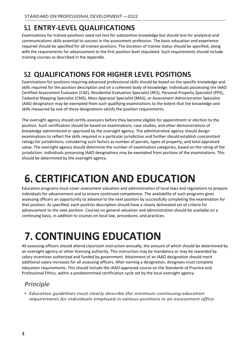### <span id="page-8-0"></span>**5.1 ENTRY-LEVEL QUALIFICATIONS**

Examinations for trainee positions need not test for substantive knowledge but should test for analytical and communications skills essential to success in the assessment profession. The basic education and experience required should be specified for all trainee positions. The duration of trainee status should be specified, along with the requirements for advancement to the first position level stipulated. Such requirements should include training courses as described in the Appendix.

### <span id="page-8-1"></span>**5.2 QUALIFICATIONS FOR HIGHER LEVEL POSITIONS**

Examinations for positions requiring advanced professional skills should be based on the specific knowledge and skills required for the position description and on a coherent body of knowledge. Individuals possessing the IAAO Certified Assessment Evaluator (CAE), Residential Evaluation Specialist (RES), Personal Property Specialist (PPS), Cadastral Mapping Specialist (CMS), Mass Appraisal Specialist (MAS), or Assessment Administration Specialist (AAS) designation may be exempted from such qualifying examinations to the extent that the knowledge and skills measured by one of these designations satisfy the position requirements.

The oversight agency should certify assessors before they become eligible for appointment or election to the position. Such certification should be based on examinations, case studies, and other demonstrations of knowledge administered or approved by the oversight agency. The administrative agency should design examinations to reflect the skills required in a particular jurisdiction and further should establish concomitant ratings for jurisdictions, considering such factors as number of parcels, types of property, and total appraised value. The oversight agency should determine the number of examination categories, based on the rating of the jurisdiction. Individuals possessing IAAO designations may be exempted from portions of the examinations. This should be determined by the oversight agency.

# <span id="page-8-2"></span>**6. CERTIFICATION AND EDUCATION**

Education programs must cover assessment valuation and administration of local laws and regulations to prepare individuals for advancement and to ensure continued competence. The availability of such programs gives assessing officers an opportunity to advance to the next position by successfully completing the examination for that position. As specified, each position description should have a clearly delineated set of criteria for advancement to the next position. Courses on general valuation and administration should be available on a continuing basis, in addition to courses on local law, procedures, and practices.

# <span id="page-8-3"></span>**7. CONTINUING EDUCATION**

All assessing officers should attend classroom instruction annually, the amount of which should be determined by an oversight agency or other licensing authority. This instruction may be mandatory or may be rewarded by salary incentives authorized and funded by government. Attainment of an IAAO designation should merit additional salary increases for all assessing officers. After earning a designation, designees must complete education requirements. This should include the IAAO-approved course on the Standards of Practice and Professional Ethics, within a predetermined certification cycle set by the local oversight agency.

### <span id="page-8-4"></span>*Principle*

*• Education guidelines must clearly describe the minimum continuing education requirements for individuals employed in various positions in an assessment office.*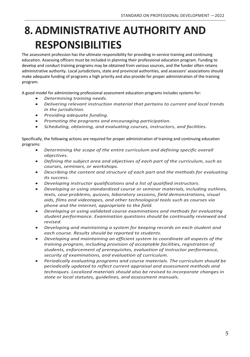# <span id="page-9-0"></span>**8. ADMINISTRATIVE AUTHORITY AND RESPONSIBILITIES**

The assessment profession has the ultimate responsibility for providing in-service training and continuing education. Assessing officers must be included in planning their professional education program. Funding to develop and conduct training programs may be obtained from various sources, and the funder often retains administrative authority. Local jurisdictions, state and provincial authorities, and assessors' associations should make adequate funding of programs a high priority and also provide for proper administration of the training program.

A good model for administering professional assessment education programs includes systems for:

- *Determining training needs.*
- *Delivering relevant instruction material that pertains to current and local trends in the jurisdiction.*
- *Providing adequate funding.*
- *Promoting the programs and encouraging participation.*
- *Scheduling, obtaining, and evaluating courses, instructors, and facilities.*

Specifically, the following actions are required for proper administration of training and continuing education programs:

- *Determining the scope of the entire curriculum and defining specific overall objectives.*
- *Defining the subject area and objectives of each part of the curriculum, such as courses, seminars, or workshops.*
- *Describing the content and structure of each part and the methods for evaluating its success.*
- *Developing instructor qualifications and a list of qualified instructors.*
- *Developing or using standardized course or seminar materials, including outlines, texts, case problems, quizzes, laboratory sessions, field demonstrations, visual aids, films and videotapes, and other technological tools such as courses via phone and the internet, appropriate to the field.*
- *Developing or using validated course examinations and methods for evaluating student performance. Examination questions should be continually reviewed and revised.*
- *Developing and maintaining a system for keeping records on each student and each course. Results should be reported to students.*
- *Developing and maintaining an efficient system to coordinate all aspects of the training program, including provision of acceptable facilities, registration of students, enforcement of prerequisites, evaluation of instructor performance, security of examinations, and evaluation of curriculum.*
- *Periodically evaluating programs and course materials. The curriculum should be periodically updated to reflect current appraisal and assessment methods and techniques. Localized materials should also be revised to incorporate changes in state or local statutes, guidelines, and assessment manuals.*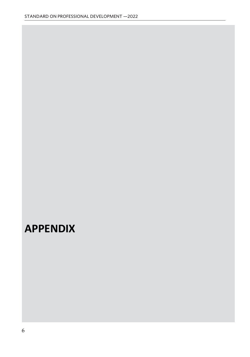## <span id="page-10-0"></span>**APPENDIX**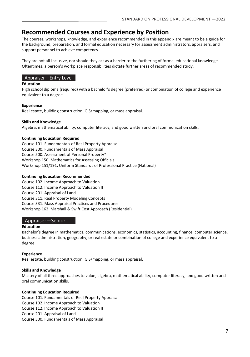### **Recommended Courses and Experience by Position**

The courses, workshops, knowledge, and experience recommended in this appendix are meant to be a guide for the background, preparation, and formal education necessary for assessment administrators, appraisers, and support personnel to achieve competency.

They are not all-inclusive, nor should they act as a barrier to the furthering of formal educational knowledge. Oftentimes, a person's workplace responsibilities dictate further areas of recommended study.

#### Appraiser—Entry Level

#### **Education**

High school diploma (required) with a bachelor's degree (preferred) or combination of college and experience equivalent to a degree.

#### **Experience**

Real estate, building construction, GIS/mapping, or mass appraisal.

#### **Skills and Knowledge**

Algebra, mathematical ability, computer literacy, and good written and oral communication skills.

#### **Continuing Education Required**

Course 101. Fundamentals of Real Property Appraisal Course 300. Fundamentals of Mass Appraisal Course 500. Assessment of Personal Property\* Workshop 150. Mathematics for Assessing Officials Workshop 151/191. Uniform Standards of Professional Practice (National)

#### **Continuing Education Recommended**

Course 102. Income Approach to Valuation Course 112. Income Approach to Valuation II Course 201. Appraisal of Land Course 311. Real Property Modeling Concepts Course 331. Mass Appraisal Practices and Procedures Workshop 162. Marshall & Swift Cost Approach (Residential)

#### Appraiser—Senior

#### **Education**

Bachelor's degree in mathematics, communications, economics, statistics, accounting, finance, computer science, business administration, geography, or real estate or combination of college and experience equivalent to a degree.

#### **Experience**

Real estate, building construction, GIS/mapping, or mass appraisal.

#### **Skills and Knowledge**

Mastery of all three approaches to value, algebra, mathematical ability, computer literacy, and good written and oral communication skills.

#### **Continuing Education Required**

Course 101. Fundamentals of Real Property Appraisal Course 102. Income Approach to Valuation Course 112. Income Approach to Valuation II Course 201. Appraisal of Land Course 300. Fundamentals of Mass Appraisal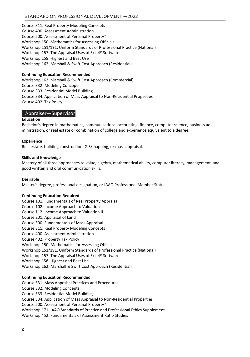Course 311. Real Property Modeling Concepts Course 400. Assessment Administration Course 500. Assessment of Personal Property\* Workshop 150. Mathematics for Assessing Officials Workshop 151/191. Uniform Standards of Professional Practice (National) Workshop 157. The Appraisal Uses of Excel® Software Workshop 158. Highest and Best Use Workshop 162. Marshall & Swift Cost Approach (Residential)

#### **Continuing Education Recommended**

Workshop 163. Marshall & Swift Cost Approach (Commercial) Course 332: Modeling Concepts Course 333. Residential Model Building Course 334. Application of Mass Appraisal to Non-Residential Properties Course 402. Tax Policy

#### Appraiser—Supervisor

#### **Education**

Bachelor's degree in mathematics, communications, accounting, finance, computer science, business administration, or real estate or combination of college and experience equivalent to a degree.

#### **Experience**

Real estate, building construction, GIS/mapping, or mass appraisal.

#### **Skills and Knowledge**

Mastery of all three approaches to value, algebra, mathematical ability, computer literacy, management, and good written and oral communication skills.

#### **Desirable**

Master's degree, professional designation, or IAAO Professional Member Status

#### **Continuing Education Required**

Course 101. Fundamentals of Real Property Appraisal Course 102. Income Approach to Valuation Course 112. Income Approach to Valuation II Course 201. Appraisal of Land Course 300. Fundamentals of Mass Appraisal Course 311. Real Property Modeling Concepts Course 400. Assessment Administration Course 402. Property Tax Policy Workshop 150. Mathematics for Assessing Officials Workshop 151/191. Uniform Standards of Professional Practice (National) Workshop 157. The Appraisal Uses of Excel® Software Workshop 158. Highest and Best Use Workshop 162. Marshall & Swift Cost Approach (Residential)

#### **Continuing Education Recommended**

Course 331. Mass Appraisal Practices and Procedures Course 332. Modeling Concepts Course 333. Residential Model Building Course 334. Application of Mass Appraisal to Non-Residential Properties Course 500. Assessment of Personal Property\* Workshop 171. IAAO Standards of Practice and Professional Ethics Supplement Workshop 452. Fundamentals of Assessment Ratio Studies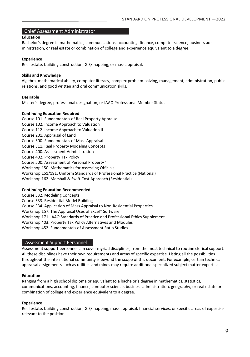#### Chief Assessment Administrator

#### **Education**

Bachelor's degree in mathematics, communications, accounting, finance, computer science, business administration, or real estate or combination of college and experience equivalent to a degree.

#### **Experience**

Real estate, building construction, GIS/mapping, or mass appraisal.

#### **Skills and Knowledge**

Algebra, mathematical ability, computer literacy, complex problem-solving, management, administration, public relations, and good written and oral communication skills.

#### **Desirable**

Master's degree, professional designation, or IAAO Professional Member Status

#### **Continuing Education Required**

Course 101. Fundamentals of Real Property Appraisal Course 102. Income Approach to Valuation Course 112. Income Approach to Valuation II Course 201. Appraisal of Land Course 300. Fundamentals of Mass Appraisal Course 311. Real Property Modeling Concepts Course 400. Assessment Administration Course 402. Property Tax Policy Course 500. Assessment of Personal Property\* Workshop 150. Mathematics for Assessing Officials Workshop 151/191. Uniform Standards of Professional Practice (National) Workshop 162. Marshall & Swift Cost Approach (Residential)

#### **Continuing Education Recommended**

Course 332. Modeling Concepts Course 333. Residential Model Building

Course 334. Application of Mass Appraisal to Non-Residential Properties Workshop 157. The Appraisal Uses of Excel® Software

Workshop 171. IAAO Standards of Practice and Professional Ethics Supplement

Workshop 403. Property Tax Policy Alternatives and Modules

Workshop 452. Fundamentals of Assessment Ratio Studies

#### Assessment Support Personnel

Assessment support personnel can cover myriad disciplines, from the most technical to routine clerical support. All these disciplines have their own requirements and areas of specific expertise. Listing all the possibilities throughout the international community is beyond the scope of this document. For example, certain technical appraisal assignments such as utilities and mines may require additional specialized subject matter expertise.

#### **Education**

Ranging from a high school diploma or equivalent to a bachelor's degree in mathematics, statistics, communications, accounting, finance, computer science, business administration, geography, or real estate or combination of college and experience equivalent to a degree.

#### **Experience**

Real estate, building construction, GIS/mapping, mass appraisal, financial services, or specific areas of expertise relevant to the position.